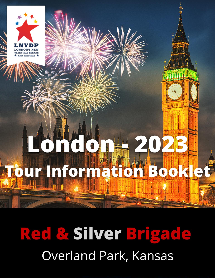

# Red & Silver Brigade Overland Park, Kansas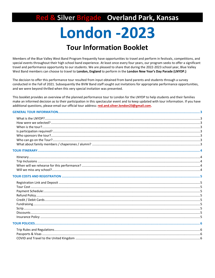ed & Silver Brigade Overland Park, Kansas

## **London -2023**

### **Tour Information Booklet**

Members of the Blue Valley West Band Program frequently have opportunities to travel and perform in festivals, competitions, and special events throughout their high school band experience. At least once every four years, our program seeks to offer a significant travel and performance opportunity to our students. We are pleased to share that during the 2022-2023 school year, Blue Valley West Band members can choose to travel to London, England to perform in the London New Year's Day Parade (LNYDP.)

The decision to offer this performance tour resulted from input obtained from band parents and students through a survey conducted in the Fall of 2021. Subsequently the BVW Band staff sought out invitations for appropriate performance opportunities, and we were beyond thrilled when this very special invitation was presented.

This booklet provides an overview of the planned performance tour to London for the LNYDP to help students and their families make an informed decision as to their participation in this spectacular event and to keep updated with tour information. If you have additional questions, please email our official tour address: red.and.silver.london23@gmail.com.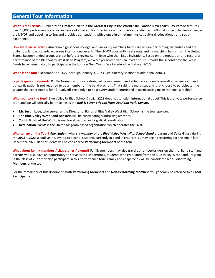#### <span id="page-2-0"></span>**General Tour Information**

<span id="page-2-1"></span>**What is the LNYDP?** Dubbed **"The Greatest Event in the Greatest City in the World,"** the **London New Year's Day Parade** features over 10,000 performers for a live audience of a half-million spectators and a broadcast audience of 600 million people. Performing in the LNYDP and travelling to England provides our students with a once-in-a-lifetime musical, cultural, educational, and social experience.

<span id="page-2-2"></span>**How were we selected?** American high school, college, and university marching bands are unique performing ensembles and are quite popular participants in various international events. The LNYDP constantly seeks outstanding marching bands from the United States. Recommended groups are put before a review committee who then issue invitations. Based on the reputation and record of performance of the Blue Valley West Band Program, we were presented with an invitation. This marks the second time the West Bands have been invited to participate in the London New Year's Day Parade – the first was 2010.

<span id="page-2-3"></span>**When is the tour?** December 27, 2022, through January 3, 2023. See itinerary section for additional details.

<span id="page-2-4"></span>**Is participation required?** *No.* Performance tours are designed to supplement and enhance a student's overall experience in band, but participation is not required to be a member of the band program. That said, the more students that choose to participate, the greater the experience is for all involved! We pledge to help every student interested in participating make that goal a reality!

<span id="page-2-5"></span>**Who sponsors the tour?** Blue Valley Unified School District #229 does not sanction international travel. This is a private performance tour, and we will officially be traveling as the *Red & Silver Brigade from Overland Park, Kansas.*

- **Mr. Justin Love**, who serves as the Director of Bands at Blue Valley West High School, is the tour sponsor.
- **The Blue Valley West Band Boosters** will be coordinating fundraising activities.
- Youth Music of the World, is our travel partner and logistical coordinator.
- **Destination Events** is the United Kingdom based organization which operates the LNYDP.

<span id="page-2-6"></span>**Who can go on the Tour?** *Any student* who is a *member* of the *Blue Valley West High School Band* program and *Color Guard* during the *2022 – 2023* school year is invited to attend. Students currently in band in grades 8-11 may begin registering for the trip in late December 2022. Band students will be considered **Performing Members** of the tour.

<span id="page-2-7"></span>**What about family members / chaperones / alumni?** Family members may also travel as non-performers on the trip. Band staff and parents will also have an opportunity to serve as trip chaperones. Students who graduated from the Blue Valley West Band Program in the class of 2022 may also participate in this performance tour. Family and chaperones will be considered **Non-Performing Members** of the tour.

For the remainder of this document, both **Performing Members** and **Non-Performing Members** will generally be referred to as **Tour Participants.**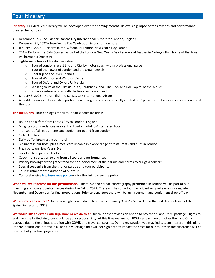#### <span id="page-3-0"></span>**Tour Itinerary**

<span id="page-3-1"></span>**Itinerary**: Our detailed itinerary will be developed over the coming months. Below is a glimpse of the activities and performances planned for our trip.

- December 27, 2022 depart Kansas City International Airport for London, England
- December 31, 2022 New Year's Eve Celebration in our London hotel
- January 1, 2023 Perform in the 37<sup>th</sup> annual London New Year's Day Parade
- TBA Perform in a Gala Concert as part of the London New Year's Day Parade and Festival in Cadogan Hall, home of the Royal Philharmonic Orchestra
- Sight-seeing tours of London including:
	- o Tour of London's West End and City by motor coach with a professional guide
	- o Tour of the Tower of London and the Crown Jewels
	- o Boat trip on the River Thames
	- o Tour of Windsor and Windsor Castle
	- o Tour of Oxford and Oxford University
	- o Walking tours of the LNYDP Route, Southbank, and "The Rock and Roll Capital of the World"
	- o Possible rehearsal visit with the Royal Air Force Band
- January 3, 2023 Return flight to Kansas City International Airport
- All sight-seeing events include a professional tour guide and / or specially curated mp3 players with historical information about the tour

<span id="page-3-2"></span>**Trip Inclusions**: Tour packages for all tour participants includes:

- Round-trip airfare from Kansas City to London, England
- 6 nights accommodations in a central London hotel (3-4 star rated hotel)
- Transport of all instruments and equipment to and from London
- 1 checked bag
- Daily buffet breakfast in our hotel
- 3 dinners in our hotel plus a meal card useable in a wide range of restaurants and pubs in London
- Pizza party on New Year's Eve
- Sack lunch on parade day for performers
- Coach transportation to and from all tours and performances
- Priority booking for the grandstand for non-performers at the parade and tickets to our gala concert
- Special souvenirs from the trip for parade and tour participants
- Tour assistant for the duration of our tour
- Comprehensive **[trip insurance policy](https://drive.google.com/file/d/14PnS6zDSfleaWF_vLEaBMkzQdWVEDRu8/view?usp=sharing)** click the link to view the policy

<span id="page-3-3"></span>**When will we rehearse for this performance?** The music and parade choreography performed in London will be part of our marching and concert performances during the Fall of 2022. There will be some tour participant only rehearsals during late November and December for final preparations. Prior to departure there will be an instrument and equipment drop-off day.

<span id="page-3-4"></span>**Will we miss any school?** Our return flight is scheduled to arrive on January 3, 2023. We will miss the first day of classes of the Spring Semester of 2023.

**We would like to extend our trip. How do we do this?** Our tour host provides an option to pay for a "Land Only" package. Flights to and from the United Kingdom would be your responsibility. At this time we are not 100% certain if we can offer the Land Only package due to the unique situation with COVID and travel constraints. During registration you may indicate an interest in this plan. If there is sufficient interest in a Land Only Package that will not significantly impact the costs for our tour then the difference will be taken off of your final payments.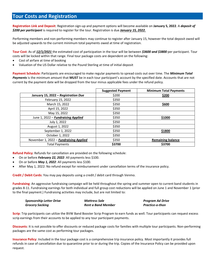#### <span id="page-4-0"></span>**Tour Costs and Registration**

<span id="page-4-1"></span>**Registration Link and Deposit**: Registration sign-up and payment options will become available on **January 5, 2022**. A *deposit of \$200 per participant* is required to register for the tour. Registration is due *January 15, 2022.*

Performing members and non-performing members may continue to register after January 15, however the total deposit owed will be adjusted upwards to the current minimum total payments owed at time of registration.

<span id="page-4-2"></span>**Tour Cost**: As of *12/1/2021* the estimated cost of participation in the tour will be between *\$3600 and \$3800* per participant. Tour costs will be locked within that range. Final tour package costs are dependent on the following:

- Cost of airfare at time of booking
- Valuation of the US Dollar relative to the Pound Sterling at time of initial deposit

<span id="page-4-3"></span>**Payment Schedule:** Participants are encouraged to make regular payments to spread costs out over time. The *Minimum Total Payments* is the minimum amount that **MUST** be in each tour participant's account by the specified date. Accounts that are not current by the payment date will be dropped from the tour minus applicable fees under the refund policy.

|                                        | <b>Suggested Payment</b> | <b>Minimum Total Payments</b> |
|----------------------------------------|--------------------------|-------------------------------|
| January 15, 2022 - Registration Due    | \$200                    | \$200                         |
| February 15, 2022                      | \$350                    |                               |
| March 15, 2022                         | \$350                    | \$600                         |
| April 15, 2022                         | \$350                    |                               |
| May 15, 2022                           | \$350                    |                               |
| June 1, 2022 - Fundraising Applied     | \$350                    | \$1000                        |
| July 1, 2022                           | \$350                    |                               |
| August 1, 2022                         | \$350                    |                               |
| September 1, 2022                      | \$350                    | \$1800                        |
| October 1, 2022                        | \$350                    |                               |
| November 1, 2022 - Fundraising Applied | \$350                    | <b>Remaining balance</b>      |
| <b>Total Payments</b>                  | \$3700                   | \$3700                        |

<span id="page-4-4"></span>**Refund Policy**: Refunds for cancellation are provided on the following schedule:

- On or before *February 22, 2022*: All payments less \$100.
- On or before *May 1, 2022*: All payments less \$100.
- After May 1, 2022: No refund except for reimbursement under cancellation terms of the insurance policy.

<span id="page-4-5"></span>**Credit / Debit Cards**: You may pay deposits using a credit / debit card through Venmo.

<span id="page-4-6"></span>**Fundraising**: An aggressive fundraising campaign will be held throughout the spring and summer open to current band students in grades 8-11. Fundraising earnings for both individual and full group cost reductions will be applied on June 1 and November 1 (prior to the final payment.) Fundraising activities may include, but are not limited to:

| <b>Sponsorship Letter Drive</b> | <b>Mattress Sale</b>      | <b>Program Ad Drive</b> |
|---------------------------------|---------------------------|-------------------------|
| <b>Grocery Sacking</b>          | <b>Rent a Band Member</b> | Practice-o-thon         |

<span id="page-4-7"></span>**Scrip**: Trip participants can utilize the BVW Band Booster Scrip Program to earn funds as well. Tour participants can request excess scrip earnings from their accounts to be applied to any tour participant payments.

<span id="page-4-8"></span>**Discounts**: It is not possible to offer discounts or reduced package costs for families with multiple tour participants. Non-performing packages are the same cost as performing tour packages.

<span id="page-4-9"></span>**Insurance Policy**: Included in the tour package cost is a comprehensive trip insurance policy. Most importantly it provides full refunds in case of cancellation due to quarantine prior to or during the trip. Copies of the Insurance Policy can be provided upon request.